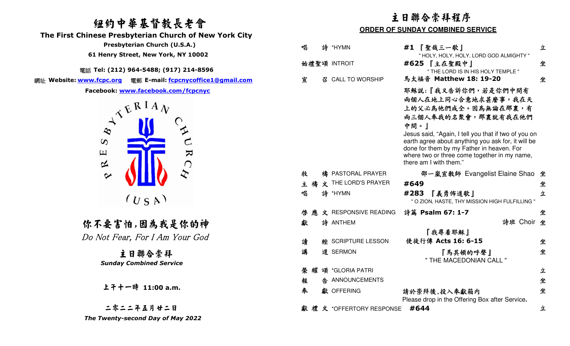# 紐約中華基督教長老會

 **The First Chinese Presbyterian Church of New York City** 

電話 **Tel: (212) 964-5488; (917) 214-8596** 

網址 **Website: www.fcpc.org** 電郵 **E-mail: fcpcnycoffice1@gmail.com**



二零二二年五月廿二日The Twenty-second Day of May 2022

| 纽约中華基督教長老會                                                                                                                                                                      |                                        | 主日聯合崇拜程序<br><b>ORDER OF SUNDAY COMBINED SERVICE</b>                                                                                                                                                                                                                                                                                   |        |
|---------------------------------------------------------------------------------------------------------------------------------------------------------------------------------|----------------------------------------|---------------------------------------------------------------------------------------------------------------------------------------------------------------------------------------------------------------------------------------------------------------------------------------------------------------------------------------|--------|
| inese Presbyterian Church of New York City<br>Presbyterian Church (U.S.A.)<br>61 Henry Street, New York, NY 10002                                                               | 唱<br>詩 *HYMN                           | #1 【聖哉三一歌】<br>" HOLY, HOLY, HOLY, LORD GOD ALMIGHTY "                                                                                                                                                                                                                                                                                 | 立      |
| 話 Tel: (212) 964-5488; (917) 214-8596<br>電郵 E-mail: fcpcnycoffice1@gmail.com                                                                                                    | 始禮聖頌 INTROIT<br>召 CALL TO WORSHIP<br>宣 | #625 【主在聖殿中】<br>" THE LORD IS IN HIS HOLY TEMPLE "<br>馬太福音 Matthew 18: 19-20                                                                                                                                                                                                                                                          | 坐<br>坐 |
| <u>ww.fcpc.org</u><br>Facebook: www.facebook.com/fcpcnyc<br>$A^{\mathcal{A} \mathcal{E} R I A} \mathcal{V}$<br>$\boldsymbol{\omega}$<br>$\mathbf{K}$<br>$\Xi$<br>$\bigcap$<br>区 |                                        | 耶穌說:『我又告訴你們,若是你們中間有<br>兩個人在地上同心合意地求甚麼事,我在天<br>上的父必為他們成全。因為無論在那裏,有<br>兩三個人奉我的名聚會,那裏就有我在他們<br>中間。」<br>Jesus said, "Again, I tell you that if two of you on<br>earth agree about anything you ask for, it will be<br>done for them by my Father in heaven. For<br>where two or three come together in my name,<br>there am I with them." |        |
| $\boldsymbol{\mathcal{Z}}$<br>$\sim$                                                                                                                                            | 牧<br>禱 PASTORAL PRAYER                 | 邵一嵐宣教師 Evangelist Elaine Shao 坐                                                                                                                                                                                                                                                                                                       |        |
|                                                                                                                                                                                 | 主 禱 文 THE LORD'S PRAYER                | #649                                                                                                                                                                                                                                                                                                                                  | 坐      |
| (U S A)                                                                                                                                                                         | 唱<br>詩 *HYMN                           | #283<br>『義勇佈道歌』<br>" O ZION, HASTE, THY MISSION HIGH FULFILLING "                                                                                                                                                                                                                                                                     | 立      |
|                                                                                                                                                                                 | 文 RESPONSIVE READING<br>啓應             | 詩篇 Psalm 67: 1-7                                                                                                                                                                                                                                                                                                                      | 坐      |
| 你不要害怕,因為我是你的神                                                                                                                                                                   | 詩 ANTHEM<br>獻                          | 詩班 Choir 坐<br>『我尋着耶穌』                                                                                                                                                                                                                                                                                                                 |        |
| Do Not Fear, For I Am Your God                                                                                                                                                  | 讀<br><b>經 SCRIPTURE LESSON</b>         | 使徒行傳 Acts 16: 6-15                                                                                                                                                                                                                                                                                                                    | 坐      |
| 主日聯合崇拜<br><b>Sunday Combined Service</b>                                                                                                                                        | 講<br>道 SERMON                          | 『馬其頓的呼聲』<br>" THE MACEDONIAN CALL "                                                                                                                                                                                                                                                                                                   | 坐      |
|                                                                                                                                                                                 | 榮耀頌 *GLORIA PATRI                      |                                                                                                                                                                                                                                                                                                                                       | 立      |
|                                                                                                                                                                                 | 告 ANNOUNCEMENTS<br>報                   |                                                                                                                                                                                                                                                                                                                                       | 坐      |
| 上干十一時 11:00 a.m.                                                                                                                                                                | 奉<br>獻 OFFERING                        | 請於崇拜後,投入奉獻箱内<br>Please drop in the Offering Box after Service.                                                                                                                                                                                                                                                                        | 坐      |
| 二零二二年五月廿二日                                                                                                                                                                      | 獻禮文 *OFFERTORY RESPONSE                | #644                                                                                                                                                                                                                                                                                                                                  | 立      |
| The Twenty-second Day of May 2022                                                                                                                                               |                                        |                                                                                                                                                                                                                                                                                                                                       |        |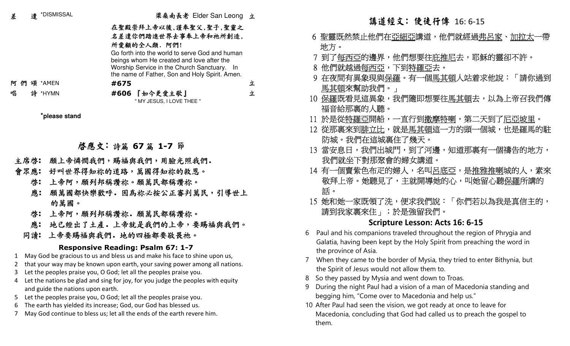| 差  | 遣    | *DISMISSAL                        | 梁桑南長老 Elder San Leong 立                                                                                           |   | 講道經文: 使徒行傳 16:6-15                                             |
|----|------|-----------------------------------|-------------------------------------------------------------------------------------------------------------------|---|----------------------------------------------------------------|
|    |      |                                   | 在聖殿崇拜上帝以後,謹奉聖父,聖子,聖靈之                                                                                             |   |                                                                |
|    |      |                                   | 名差遣你們踏進世界去事奉上帝和祂所創造,                                                                                              |   | 6 聖靈既然禁止他們在 <u>亞細亞</u> 講道,他們就經過 <u>弗</u>                       |
|    |      |                                   | 所愛顧的全人類. 阿們!                                                                                                      |   | 地方。                                                            |
|    |      |                                   | Go forth into the world to serve God and human                                                                    |   | 7 到了 <u>每西亞</u> 的邊界,他們想要往 <u>庇推尼</u> 去,耶穌                      |
|    |      |                                   | beings whom He created and love after the<br>Worship Service in the Church Sanctuary. In                          |   | 8 他們就越過每西亞,下到特羅亞去。                                             |
|    |      |                                   | the name of Father, Son and Holy Spirit. Amen.                                                                    |   | 9 在夜間有異象現與 <u>保羅</u> 。有一個 <u>馬其頓</u> 人站着求                      |
| 阿們 | 頌    | *AMEN                             | #675                                                                                                              | 立 |                                                                |
| 唱  | 詩    | *HYMN                             | #606 『如今更愛主歌』                                                                                                     | 立 | 馬其頓來幫助我們。」                                                     |
|    |      |                                   | " MY JESUS, I LOVE THEE "                                                                                         |   | 10 保羅既看見這異象,我們隨即想要往馬其頓去,                                       |
|    |      | *please stand                     |                                                                                                                   |   | 福音給那裏的人聽。                                                      |
|    |      |                                   |                                                                                                                   |   | 11 於是從 <u>特羅亞</u> 開船,一直行到 <u>撒摩特喇</u> ,第二天                     |
|    |      |                                   |                                                                                                                   |   | 12 從那裏來到腓立比,就是馬其頓這一方的頭一個                                       |
|    |      |                                   |                                                                                                                   |   | 防城。我們在這城裏住了幾天。                                                 |
|    |      |                                   | 啓應文:詩篇 67 篇 1-7 節                                                                                                 |   | 13 當安息日,我們出城門,到了河邊,知道那裏有                                       |
|    | 主席啓: |                                   | 願上帝憐憫我們,賜福與我們,用臉光照我們.                                                                                             |   | 我們就坐下對那聚會的婦女講道。                                                |
|    | 會眾應: |                                   | 好叫世界得知祢的道路,萬國得知祢的救恩。                                                                                              |   | 14 有一個賣紫色布疋的婦人,名叫呂底亞,是推雅                                       |
|    | 啓:   |                                   | 上帝阿,願列邦稱讚祢。願萬民都稱讚祢。                                                                                               |   | 敬拜上帝。她聽見了,主就開導她的心,叫她留                                          |
|    | 應:   |                                   | 願萬國都快樂歡呼。因為祢必按公正審判萬民,引導世上                                                                                         |   | 話。                                                             |
|    |      | 的萬國。                              |                                                                                                                   |   | 15 她和她一家既領了洗,便求我們說:「你們若以                                       |
|    | 啓:   |                                   | 上帝阿,願列邦稱讚祢. 願萬民都稱讚祢。                                                                                              |   | 請到我家裏來住」;於是強留我們。                                               |
|    | 應:   |                                   | 地已經出了土產。上帝就是我們的上帝,要賜福與我們。                                                                                         |   | Scripture Lesson: Acts 16: 6-15                                |
|    |      |                                   | 同讀: 上帝要賜福與我們。地的四極都要敬畏祂。                                                                                           |   | Paul and his companions traveled throughout the region<br>6    |
|    |      |                                   |                                                                                                                   |   | Galatia, having been kept by the Holy Spirit from preachi      |
|    |      |                                   | Responsive Reading: Psalm 67: 1-7<br>1 May God be gracious to us and bless us and make his face to shine upon us, |   | the province of Asia.                                          |
|    |      |                                   | 2 that your way may be known upon earth, your saving power among all nations.                                     |   | 7 When they came to the border of Mysia, they tried to ent     |
| 3  |      |                                   | Let the peoples praise you, O God; let all the peoples praise you.                                                |   | the Spirit of Jesus would not allow them to.                   |
| 4  |      |                                   | Let the nations be glad and sing for joy, for you judge the peoples with equity                                   |   | So they passed by Mysia and went down to Troas.<br>8           |
|    |      | and guide the nations upon earth. |                                                                                                                   |   | During the night Paul had a vision of a man of Macedonia<br>9  |
| 5  |      |                                   | Let the peoples praise you, O God; let all the peoples praise you.                                                |   | begging him, "Come over to Macedonia and help us."             |
| 6  |      |                                   | The earth has yielded its increase; God, our God has blessed us.                                                  |   | 10 After Paul had seen the vision, we got ready at once to lea |
|    |      |                                   | May God continue to bless us; let all the ends of the earth revere him.                                           |   | Macedonia, concluding that God had called us to preach<br>them |

- 主席啟**:** 願上帝憐憫我們,賜福與我們,用臉光照我們.
- 會眾應**:** 好叫世界得知祢的道路,萬國得知祢的救恩。
	- 上帝阿,願列邦稱讚祢。願萬民都稱讚祢。啟**:**
	- 應**:** 願萬國都快樂歡呼.因為祢必按公正審判萬民,引導世上的萬國。
	- 上帝阿,願列邦稱讚祢。願萬民都稱讚祢。 啟**:**
	- 應**:** 地已經出了土產.上帝就是我們的上帝,要賜福與我們。
- 同讀**:** <sup>上</sup>帝要賜福與我們.地的四極都要敬畏祂。

## **Responsive Reading: Psalm 67: 1-7**

- 1 May God be gracious to us and bless us and make his face to shine upon us,
- 2that your way may be known upon earth, your saving power among all nations.
- 3 Let the peoples praise you, O God; let all the peoples praise you.
- 4 Let the nations be glad and sing for joy, for you judge the peoples with equity and guide the nations upon earth.
- 5 Let the peoples praise you, O God; let all the peoples praise you.
- 6The earth has yielded its increase; God, our God has blessed us.
- 7May God continue to bless us; let all the ends of the earth revere him.

- 6 聖靈既然禁止他們在亞細亞講道,他們就經過弗呂家、加拉太一帶 地方。
- 7 到了每西亞的邊界,他們想要往庇推尼去,耶穌的靈卻不許。
- 8 他們就越過每西亞,下到特羅亞去。
- 9 在夜間有異象現與保羅。有一個馬其頓人站着求他說:「請你過到 馬其頓來幫助我們。」
- 10 保羅既看見這異象,我們隨即想要往馬其頓去,以為上帝召我們傳 福音給那裏的人聽。
- 11 於是從特羅亞開船,一直行到撒摩特喇,第二天到了尼亞坡里。
- 12 從那裏來到腓立比,就是馬其頓這一方的頭一個城,也是羅馬的駐 防城。我們在這城裏住了幾天。
- 13 當安息日,我們出城門,到了河邊,知道那裏有一個禱告的地方, 我們就坐下對那聚會的婦女講道。
- 14 有一個賣紫色布疋的婦人,名叫呂底亞,是推雅推喇城的人,素來 敬拜上帝。她聽見了,主就開導她的心,叫她留心聽保羅所講的。 話。
- 15 她和她一家既領了洗,便求我們說:「你們若以為我是真信主的, 請到我家裏來住」;於是強留我們。

# **Scripture Lesson: Acts 16: 6-15**

- 6 Paul and his companions traveled throughout the region of Phrygia and Galatia, having been kept by the Holy Spirit from preaching the word in the province of Asia.
- 7 When they came to the border of Mysia, they tried to enter Bithynia, but the Spirit of Jesus would not allow them to.
- 8 So they passed by Mysia and went down to Troas.
- 9 During the night Paul had a vision of a man of Macedonia standing and begging him, "Come over to Macedonia and help us."
- 10 After Paul had seen the vision, we got ready at once to leave for Macedonia, concluding that God had called us to preach the gospel to them.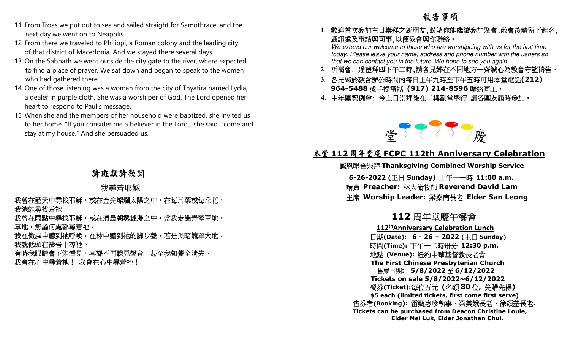- 11 From Troas we put out to sea and sailed straight for Samothrace, and the next day we went on to Neapolis.
- 12 From there we traveled to Philippi, a Roman colony and the leading city of that district of Macedonia. And we stayed there several days.
- 13 On the Sabbath we went outside the city gate to the river, where expected to find a place of prayer. We sat down and began to speak to the women who had gathered there.
- 14 One of those listening was a woman from the city of Thyatira named Lydia, a dealer in purple cloth. She was a worshiper of God. The Lord opened her heart to respond to Paul's message.
- 15 When she and the members of her household were baptized, she invited us to her home. "If you consider me a believer in the Lord," she said, "come and stay at my house." And she persuaded us.

- 
- 
- 



11 Form Trois we put out to sea and silled staright for Sumultines, and the<br>
next of your on to Neurolan Chemical Constraints and we are a constraint of the staring of the staring of the staring of the staring of the sta 售票日期**: 5/8/2022** <sup>至</sup> **6/12/2022 Tickets on sale 5/8/2022~6/12/2022**  餐券**(Ticket):**每位五元 **(**名額 **<sup>80</sup>** <sup>位</sup>**,** 先購先得**) \$5 each (limited tickets, first come first serve)**  售券者**(Booking):** 雷甄惠珍執事、梁美娥長老、徐頌基長老**. Tickets can be purchased from Deacon Christine Louie, Elder Mei Luk, Elder Jonathan Chui.** 

# 詩班獻詩歌詞

## 我尋着耶穌

- 
- 
- 
-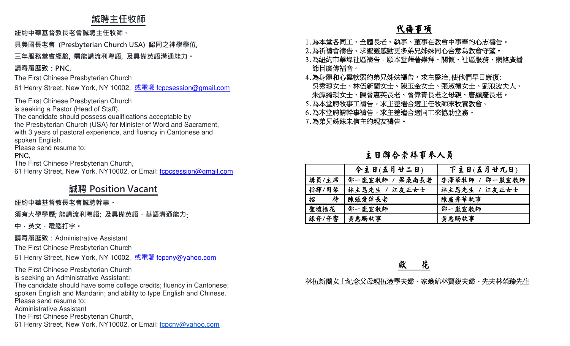## **誠聘主任牧師**

**紐約中華基督教⻑老會誠聘主任牧師。**

**具美國⻑老會 (Presbyterian Church USA) 認同之神學學位,** 

### **三年服務堂會經驗, 需能講流利粵語, 及具備英語溝通能力。**

**請寄履歷致:PNC,**

The First Chinese Presbyterian Church

61 Henry Street, New York, NY 10002, <u>或電郵 f<mark>cpcsession@gmail.com</mark></u>

The First Chinese Presbyterian Church

is seeking a Pastor (Head of Staff).

The candidate should possess qualifications acceptable by

 the Presbyterian Church (USA) for Minister of Word and Sacrament, with 3 years of pastoral experience, and fluency in Cantonese and spoken English.

Please send resume to:

PNC,

The First Chinese Presbyterian Church,

61 Henry Street, New York, NY10002, or Email: f**cpcsession@gmail.com** 

# **誠聘 Position Vacant**

### **紐約中華基督教⻑老會誠聘幹事。**

**須有大學學歷; 能講流利粵語; 及具備英語,華語溝通能力**;

**中,英文,電腦打字。 請寄履歷致:**Administrative Assistant

The First Chinese Presbyterian Church

61 Henry Street, New York, NY 10002, <u>或電郵 fcpcny@yahoo.com</u>

The First Chinese Presbyterian Churchis seeking an Administrative Assistant:

 The candidate should have some college credits; fluency in Cantonese; spoken English and Mandarin; and ability to type English and Chinese.

Please send resume to:

Administrative Assistant

The First Chinese Presbyterian Church,

61 Henry Street, New York, NY10002, or Email: fcpcny@yahoo.com

# 代禱事項

- 1.為本堂各同工、全體長老、執事、董事在教會中事奉的心志禱告。
- 2.為祈禱會禱告。求聖靈感動更多弟兄姊妹同心合意為教會守望。
- 3.為紐約市華埠社區禱告。願本堂藉著崇拜、關懷、社區服務、網絡廣播 節目廣傳福音。
- 4.為身體和心靈軟弱的弟兄姊妹禱告。求主醫治,使他們早日康復: 吳秀琼女士、林伍新蘭女士、陳玉金女士、張淑德女士、劉浪波夫人、 朱譚綺琪女士、陳曾惠英長老、曾偉青長老之母親、唐顯慶長老。
- 5.為本堂聘牧事工禱告。求主差遣合適主任牧師來牧養教會。
- 6.為本堂聘請幹事禱告。求主差遣合適同工來協助堂務。

7.為弟兄姊妹未信主的親友禱告。

## 主日聯合崇拜事奉人員

|        | 今主日(五月廿二日)     | 下主日(五月廿九日)     |
|--------|----------------|----------------|
| 講員/主席  | 邵一嵐宣敎師 / 梁桑南長老 | 李澤華牧師 / 邵一嵐宣教師 |
| 指揮/司琴  | 林主恩先生 / 江友正女士  | 林主恩先生 / 江友正女士  |
| 招<br>待 | 陳張愛萍長老         | 陳盧秀華執事         |
| 聖壇插花   | 邵一嵐宣教師         | 邵一嵐宣教師         |
| 錄音/音響  | 黄惠賜執事          | 黄惠賜執事          |

獻 花

林伍新蘭女士紀念父母親伍淦學夫婦、家翁姑林賢銳夫婦、先夫林榮臻先生